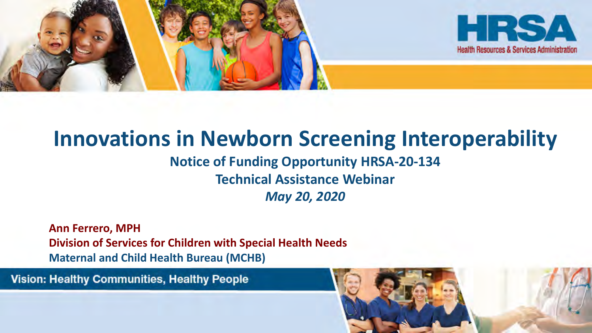

## **Innovations in Newborn Screening Interoperability Notice of Funding Opportunity HRSA-20-134**

**Technical Assistance Webinar**

*May 20, 2020*

**Ann Ferrero, MPH Division of Services for Children with Special Health Needs Maternal and Child Health Bureau (MCHB)**

**Vision: Healthy Communities, Healthy People** 

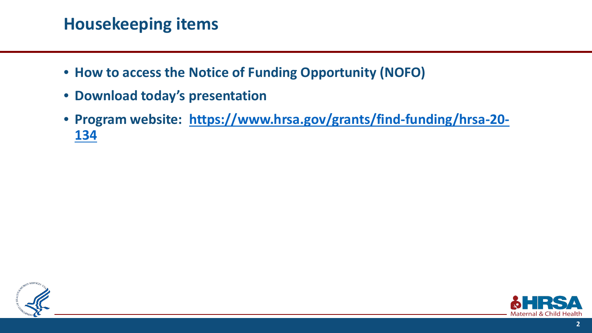## **Housekeeping items**

- **How to access the Notice of Funding Opportunity (NOFO)**
- **Download today's presentation**
- **[Program website: https://www.hrsa.gov/grants/find-funding/hrsa-20-](https://www.hrsa.gov/grants/find-funding/hrsa-20-134) 134**



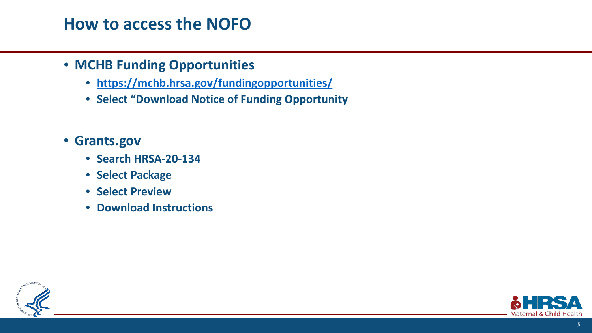#### **How to access the NOFO**

#### • **MCHB Funding Opportunities**

- **<https://mchb.hrsa.gov/fundingopportunities/>**
- **Select "Download Notice of Funding Opportunity**
- **Grants.gov**
	- **Search HRSA-20-134**
	- **Select Package**
	- **Select Preview**
	- **Download Instructions**



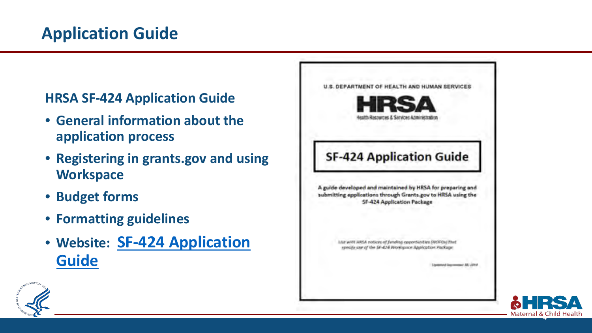#### **HRSA SF-424 Application Guide**

- **General information about the application process**
- **Registering in grants.gov and using Workspace**
- **Budget forms**
- **Formatting guidelines**
- **[Website: SF-424 Application](https://www.hrsa.gov/sites/default/files/hrsa/grants/apply/applicationguide/sf-424-app-guide.pdf) Guide**





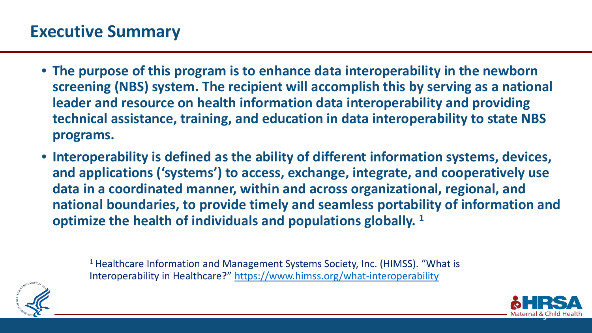- **The purpose of this program is to enhance data interoperability in the newborn screening (NBS) system. The recipient will accomplish this by serving as a national leader and resource on health information data interoperability and providing technical assistance, training, and education in data interoperability to state NBS programs.**
- **Interoperability is defined as the ability of different information systems, devices, and applications ('systems') to access, exchange, integrate, and cooperatively use data in a coordinated manner, within and across organizational, regional, and national boundaries, to provide timely and seamless portability of information and optimize the health of individuals and populations globally. 1**



<sup>1</sup> Healthcare Information and Management Systems Society, Inc. (HIMSS). "What is Interoperability in Healthcare?"<https://www.himss.org/what-interoperability>

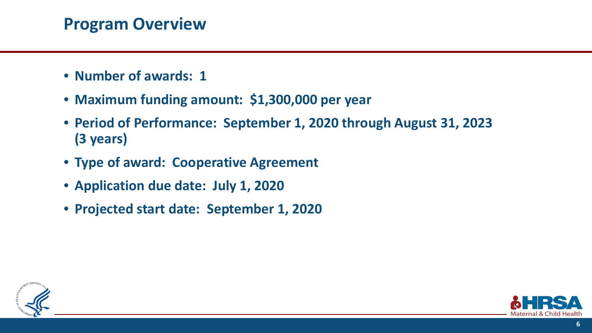### **Program Overview**

- **Number of awards: 1**
- **Maximum funding amount: \$1,300,000 per year**
- **Period of Performance: September 1, 2020 through August 31, 2023 (3 years)**
- **Type of award: Cooperative Agreement**
- **Application due date: July 1, 2020**
- **Projected start date: September 1, 2020**



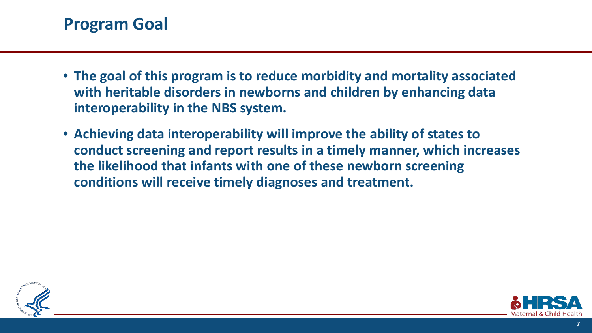#### **Program Goal**

- **The goal of this program is to reduce morbidity and mortality associated with heritable disorders in newborns and children by enhancing data interoperability in the NBS system.**
- **Achieving data interoperability will improve the ability of states to conduct screening and report results in a timely manner, which increases the likelihood that infants with one of these newborn screening conditions will receive timely diagnoses and treatment.**



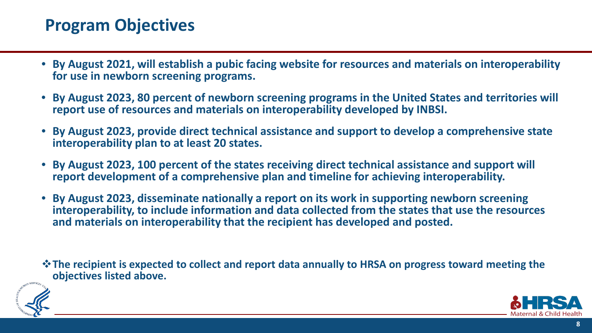#### **Program Objectives**

- **By August 2021, will establish a pubic facing website for resources and materials on interoperability for use in newborn screening programs.**
- **By August 2023, 80 percent of newborn screening programs in the United States and territories will report use of resources and materials on interoperability developed by INBSI.**
- **By August 2023, provide direct technical assistance and support to develop a comprehensive state interoperability plan to at least 20 states.**
- **By August 2023, 100 percent of the states receiving direct technical assistance and support will report development of a comprehensive plan and timeline for achieving interoperability.**
- **By August 2023, disseminate nationally a report on its work in supporting newborn screening interoperability, to include information and data collected from the states that use the resources and materials on interoperability that the recipient has developed and posted.**

**The recipient is expected to collect and report data annually to HRSA on progress toward meeting the objectives listed above.**



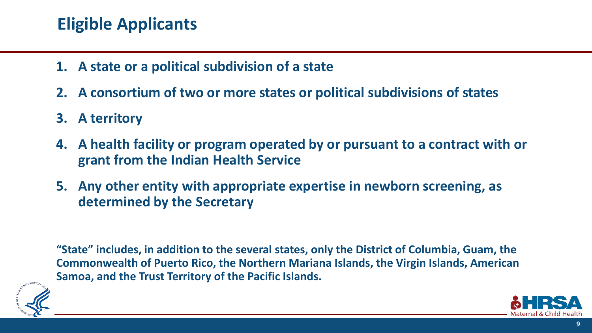### **Eligible Applicants**

- **1. A state or a political subdivision of a state**
- **2. A consortium of two or more states or political subdivisions of states**
- **3. A territory**
- **4. A health facility or program operated by or pursuant to a contract with or grant from the Indian Health Service**
- **5. Any other entity with appropriate expertise in newborn screening, as determined by the Secretary**

**"State" includes, in addition to the several states, only the District of Columbia, Guam, the Commonwealth of Puerto Rico, the Northern Mariana Islands, the Virgin Islands, American Samoa, and the Trust Territory of the Pacific Islands.**



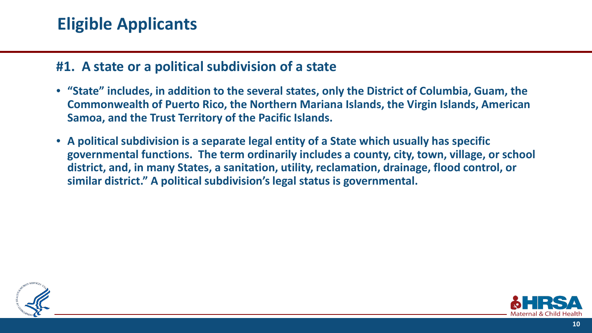#### **Eligible Applicants**

#### **#1. A state or a political subdivision of a state**

- **"State" includes, in addition to the several states, only the District of Columbia, Guam, the Commonwealth of Puerto Rico, the Northern Mariana Islands, the Virgin Islands, American Samoa, and the Trust Territory of the Pacific Islands.**
- **A political subdivision is a separate legal entity of a State which usually has specific governmental functions. The term ordinarily includes a county, city, town, village, or school district, and, in many States, a sanitation, utility, reclamation, drainage, flood control, or similar district." A political subdivision's legal status is governmental.**



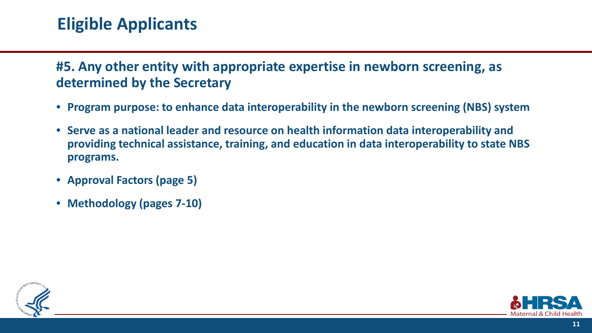### **Eligible Applicants**

#### **#5. Any other entity with appropriate expertise in newborn screening, as determined by the Secretary**

- **Program purpose: to enhance data interoperability in the newborn screening (NBS) system**
- **Serve as a national leader and resource on health information data interoperability and providing technical assistance, training, and education in data interoperability to state NBS programs.**
- **Approval Factors (page 5)**
- **Methodology (pages 7-10)**



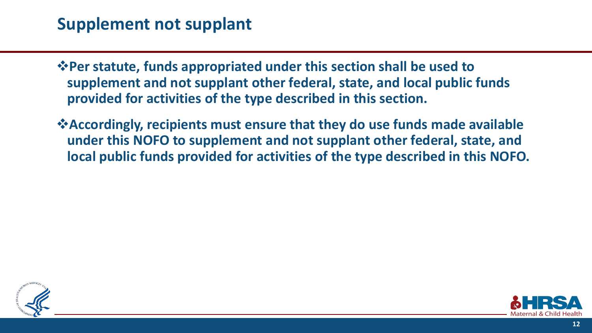### **Supplement not supplant**

**Per statute, funds appropriated under this section shall be used to supplement and not supplant other federal, state, and local public funds provided for activities of the type described in this section.** 

**Accordingly, recipients must ensure that they do use funds made available under this NOFO to supplement and not supplant other federal, state, and local public funds provided for activities of the type described in this NOFO.**



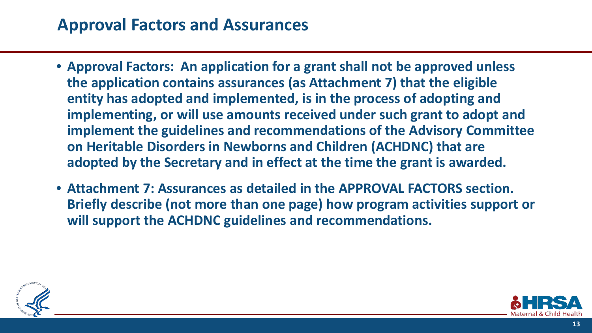#### **Approval Factors and Assurances**

- **Approval Factors: An application for a grant shall not be approved unless the application contains assurances (as Attachment 7) that the eligible entity has adopted and implemented, is in the process of adopting and implementing, or will use amounts received under such grant to adopt and implement the guidelines and recommendations of the Advisory Committee on Heritable Disorders in Newborns and Children (ACHDNC) that are adopted by the Secretary and in effect at the time the grant is awarded.**
- **Attachment 7: Assurances as detailed in the APPROVAL FACTORS section. Briefly describe (not more than one page) how program activities support or will support the ACHDNC guidelines and recommendations.**



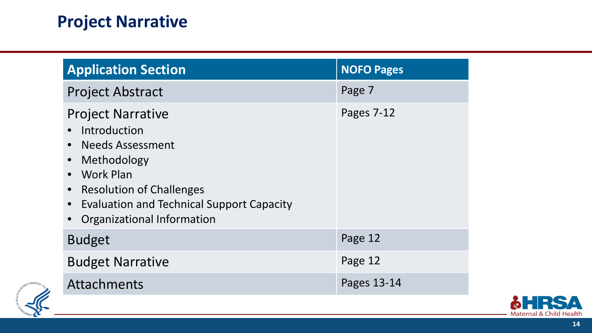## **Project Narrative**

| <b>Application Section</b>                                                                                                                                                                                                            | <b>NOFO Pages</b> |
|---------------------------------------------------------------------------------------------------------------------------------------------------------------------------------------------------------------------------------------|-------------------|
| <b>Project Abstract</b>                                                                                                                                                                                                               | Page 7            |
| <b>Project Narrative</b><br>Introduction<br><b>Needs Assessment</b><br>Methodology<br><b>Work Plan</b><br>• Resolution of Challenges<br><b>Evaluation and Technical Support Capacity</b><br>$\bullet$<br>• Organizational Information | Pages 7-12        |
| <b>Budget</b>                                                                                                                                                                                                                         | Page 12           |
| <b>Budget Narrative</b>                                                                                                                                                                                                               | Page 12           |
| Attachments                                                                                                                                                                                                                           | Pages 13-14       |



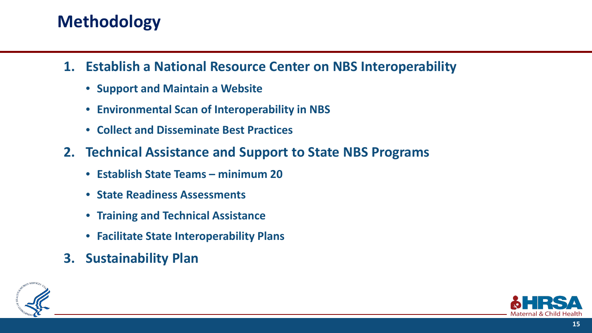## **Methodology**

- **1. Establish a National Resource Center on NBS Interoperability**
	- **Support and Maintain a Website**
	- **Environmental Scan of Interoperability in NBS**
	- **Collect and Disseminate Best Practices**
- **2. Technical Assistance and Support to State NBS Programs**
	- **Establish State Teams – minimum 20**
	- **State Readiness Assessments**
	- **Training and Technical Assistance**
	- **Facilitate State Interoperability Plans**
- **3. Sustainability Plan**



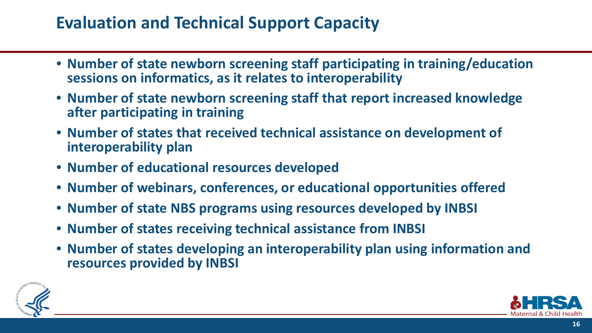### **Evaluation and Technical Support Capacity**

- **Number of state newborn screening staff participating in training/education sessions on informatics, as it relates to interoperability**
- **Number of state newborn screening staff that report increased knowledge after participating in training**
- **Number of states that received technical assistance on development of interoperability plan**
- **Number of educational resources developed**
- **Number of webinars, conferences, or educational opportunities offered**
- **Number of state NBS programs using resources developed by INBSI**
- **Number of states receiving technical assistance from INBSI**
- **Number of states developing an interoperability plan using information and resources provided by INBSI**



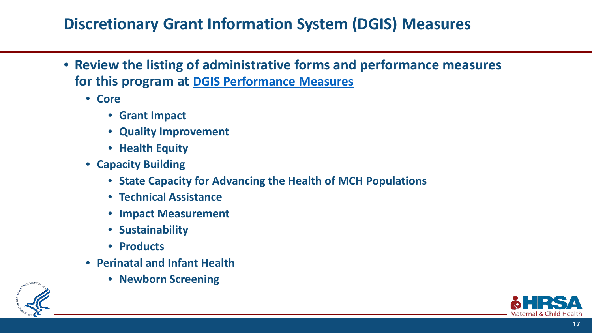#### **Discretionary Grant Information System (DGIS) Measures**

- **Review the listing of administrative forms and performance measures for this program at [DGIS Performance Measures](https://grants6.hrsa.gov/MchbExternal/DgisApp/formassignmentlist/UH7_1.html)**
	- **Core**
		- **Grant Impact**
		- **Quality Improvement**
		- **Health Equity**
	- **Capacity Building**
		- **State Capacity for Advancing the Health of MCH Populations**
		- **Technical Assistance**
		- **Impact Measurement**
		- **Sustainability**
		- **Products**
	- **Perinatal and Infant Health** 
		- **Newborn Screening**



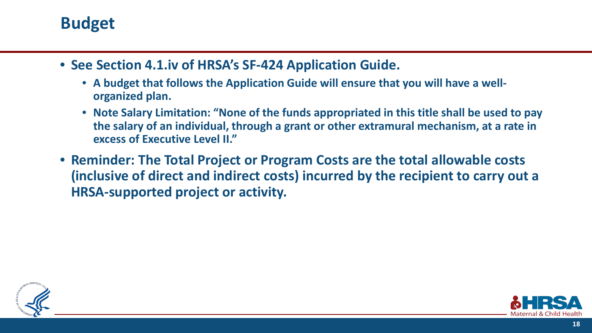#### **Budget**

- **See Section 4.1.iv of HRSA's SF-424 Application Guide.** 
	- **A budget that follows the Application Guide will ensure that you will have a wellorganized plan.**
	- **Note Salary Limitation: "None of the funds appropriated in this title shall be used to pay the salary of an individual, through a grant or other extramural mechanism, at a rate in excess of Executive Level II."**
- **Reminder: The Total Project or Program Costs are the total allowable costs (inclusive of direct and indirect costs) incurred by the recipient to carry out a HRSA-supported project or activity.**



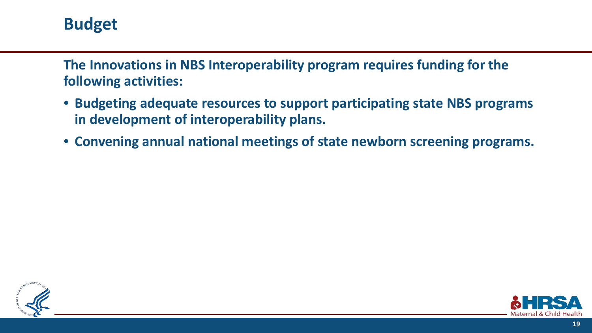#### **Budget**

**The Innovations in NBS Interoperability program requires funding for the following activities:**

- **Budgeting adequate resources to support participating state NBS programs in development of interoperability plans.**
- **Convening annual national meetings of state newborn screening programs.**



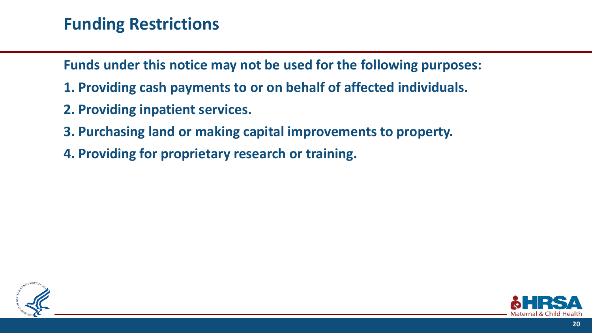#### **Funding Restrictions**

**Funds under this notice may not be used for the following purposes:**

- **1. Providing cash payments to or on behalf of affected individuals.**
- **2. Providing inpatient services.**
- **3. Purchasing land or making capital improvements to property.**
- **4. Providing for proprietary research or training.**



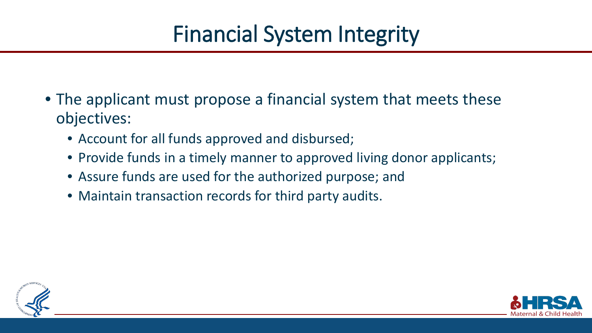- The applicant must propose a financial system that meets these objectives:
	- Account for all funds approved and disbursed;
	- Provide funds in a timely manner to approved living donor applicants;
	- Assure funds are used for the authorized purpose; and
	- Maintain transaction records for third party audits.



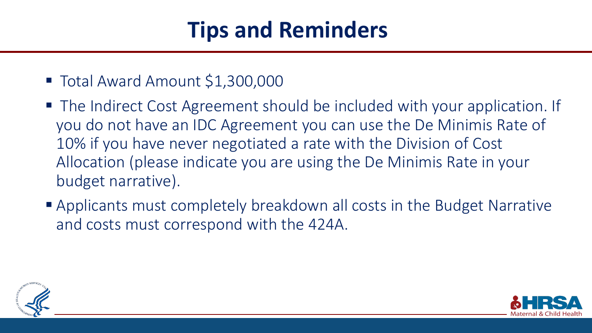# **Tips and Reminders**

- Total Award Amount \$1,300,000
- The Indirect Cost Agreement should be included with your application. If you do not have an IDC Agreement you can use the De Minimis Rate of 10% if you have never negotiated a rate with the Division of Cost Allocation (please indicate you are using the De Minimis Rate in your budget narrative).
- Applicants must completely breakdown all costs in the Budget Narrative and costs must correspond with the 424A.



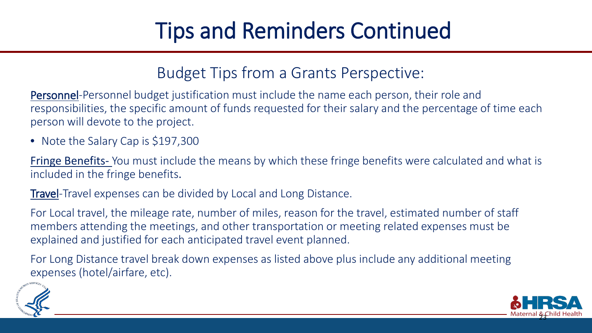# Tips and Reminders Continued

#### Budget Tips from a Grants Perspective:

Personnel-Personnel budget justification must include the name each person, their role and responsibilities, the specific amount of funds requested for their salary and the percentage of time each person will devote to the project.

• Note the Salary Cap is \$197,300

Fringe Benefits- You must include the means by which these fringe benefits were calculated and what is included in the fringe benefits.

Travel-Travel expenses can be divided by Local and Long Distance.

For Local travel, the mileage rate, number of miles, reason for the travel, estimated number of staff members attending the meetings, and other transportation or meeting related expenses must be explained and justified for each anticipated travel event planned.

For Long Distance travel break down expenses as listed above plus include any additional meeting expenses (hotel/airfare, etc).



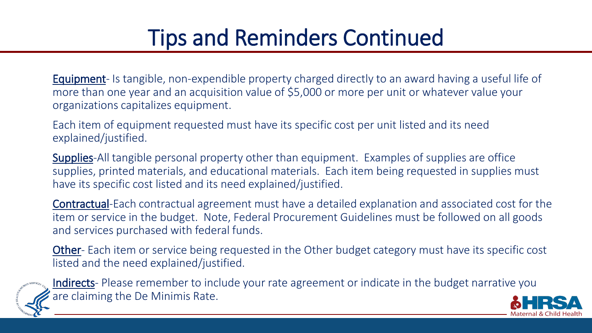# Tips and Reminders Continued

Equipment- Is tangible, non-expendible property charged directly to an award having a useful life of more than one year and an acquisition value of \$5,000 or more per unit or whatever value your organizations capitalizes equipment.

Each item of equipment requested must have its specific cost per unit listed and its need explained/justified.

Supplies-All tangible personal property other than equipment. Examples of supplies are office supplies, printed materials, and educational materials. Each item being requested in supplies must have its specific cost listed and its need explained/justified.

Contractual-Each contractual agreement must have a detailed explanation and associated cost for the item or service in the budget. Note, Federal Procurement Guidelines must be followed on all goods and services purchased with federal funds.

**Other-** Each item or service being requested in the Other budget category must have its specific cost listed and the need explained/justified.



Indirects- Please remember to include your rate agreement or indicate in the budget narrative you are claiming the De Minimis Rate.

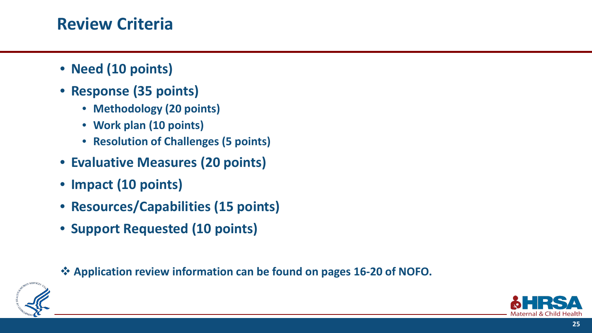#### **Review Criteria**

- **Need (10 points)**
- **Response (35 points)** 
	- **Methodology (20 points)**
	- **Work plan (10 points)**
	- **Resolution of Challenges (5 points)**
- **Evaluative Measures (20 points)**
- **Impact (10 points)**
- **Resources/Capabilities (15 points)**
- **Support Requested (10 points)**

**Application review information can be found on pages 16-20 of NOFO.**



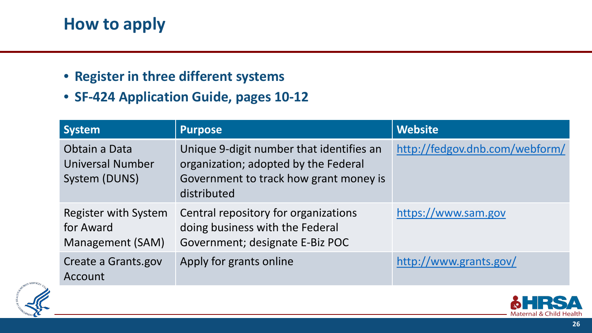### **How to apply**

- **Register in three different systems**
- **SF-424 Application Guide, pages 10-12**

| <b>System</b>                                             | <b>Purpose</b>                                                                                                                            | <b>Website</b>                 |
|-----------------------------------------------------------|-------------------------------------------------------------------------------------------------------------------------------------------|--------------------------------|
| Obtain a Data<br><b>Universal Number</b><br>System (DUNS) | Unique 9-digit number that identifies an<br>organization; adopted by the Federal<br>Government to track how grant money is<br>distributed | http://fedgov.dnb.com/webform/ |
| Register with System<br>for Award<br>Management (SAM)     | Central repository for organizations<br>doing business with the Federal<br>Government; designate E-Biz POC                                | https://www.sam.gov            |
| Create a Grants.gov<br>Account                            | Apply for grants online                                                                                                                   | http://www.grants.gov/         |



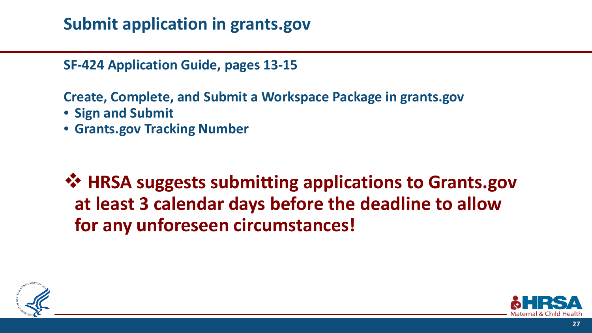### **Submit application in grants.gov**

**SF-424 Application Guide, pages 13-15**

**Create, Complete, and Submit a Workspace Package in grants.gov**

- **Sign and Submit**
- **Grants.gov Tracking Number**

 **HRSA suggests submitting applications to Grants.gov at least 3 calendar days before the deadline to allow for any unforeseen circumstances!**



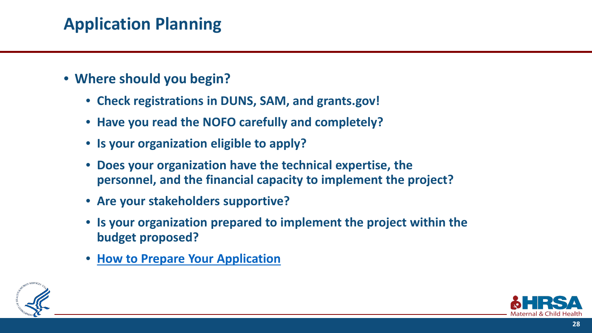## **Application Planning**

- **Where should you begin?**
	- **Check registrations in DUNS, SAM, and grants.gov!**
	- **Have you read the NOFO carefully and completely?**
	- **Is your organization eligible to apply?**
	- **Does your organization have the technical expertise, the personnel, and the financial capacity to implement the project?**
	- **Are your stakeholders supportive?**
	- **Is your organization prepared to implement the project within the budget proposed?**
	- **[How to Prepare Your Application](https://www.hrsa.gov/grants/apply-for-a-grant/prepare-your-application)**



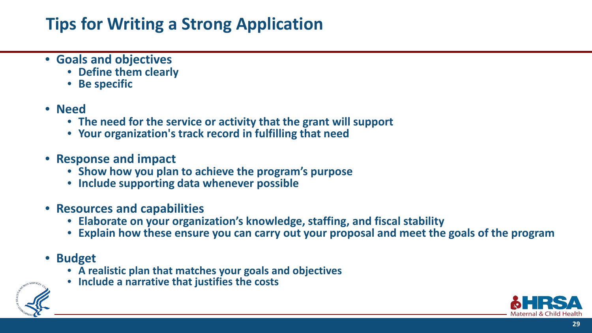## **Tips for Writing a Strong Application**

- **Goals and objectives** 
	- **Define them clearly**
	- **Be specific**
- **Need** 
	- **The need for the service or activity that the grant will support**
	- **Your organization's track record in fulfilling that need**
- **Response and impact**
	- **Show how you plan to achieve the program's purpose**
	- **Include supporting data whenever possible**
- **Resources and capabilities** 
	- **Elaborate on your organization's knowledge, staffing, and fiscal stability**
	- **Explain how these ensure you can carry out your proposal and meet the goals of the program**
- **Budget** 
	- **A realistic plan that matches your goals and objectives**
	- **Include a narrative that justifies the costs**



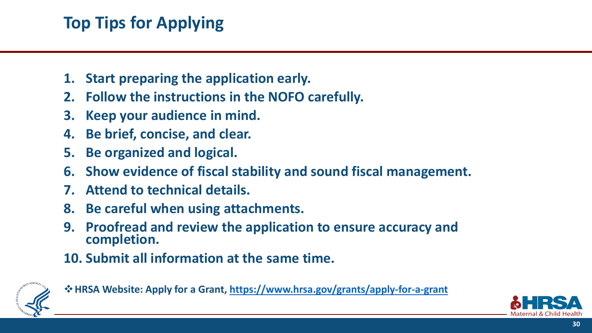## **Top Tips for Applying**

- **1. Start preparing the application early.**
- **2. Follow the instructions in the NOFO carefully.**
- **3. Keep your audience in mind.**
- **4. Be brief, concise, and clear.**
- **5. Be organized and logical.**
- **6. Show evidence of fiscal stability and sound fiscal management.**
- **7. Attend to technical details.**
- **8. Be careful when using attachments.**
- **9. Proofread and review the application to ensure accuracy and completion.**
- **10. Submit all information at the same time.**



**HRSA Website: Apply for a Grant,<https://www.hrsa.gov/grants/apply-for-a-grant>**

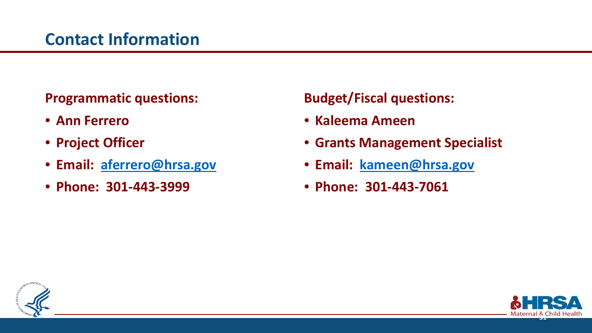#### **Programmatic questions:**

- **Ann Ferrero**
- **Project Officer**
- **Email: [aferrero@hrsa.gov](mailto:aferrero@hrsa.gov)**
- **Phone: 301-443-3999**

#### **Budget/Fiscal questions:**

- **Kaleema Ameen**
- **Grants Management Specialist**
- **Email: [kameen@hrsa.gov](mailto:kameen@hrsa.gov)**
- **Phone: 301-443-7061**